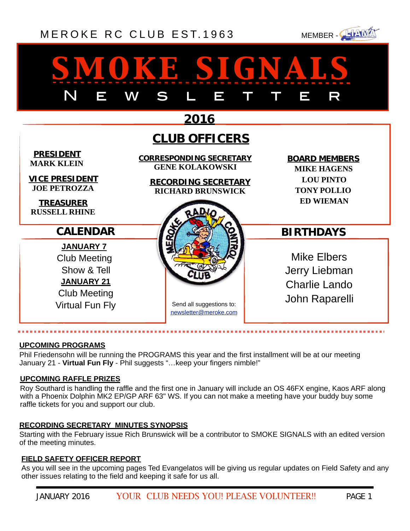### [MEROKE RC CLUB](http://www.meroke.com) EST. 1963 MEMBER-



# *smoke signals* N E W S L E T T E R

|                                                                                                                              | 2016                                                                                                 |                                                                                                          |
|------------------------------------------------------------------------------------------------------------------------------|------------------------------------------------------------------------------------------------------|----------------------------------------------------------------------------------------------------------|
|                                                                                                                              | <b>CLUB OFFICERS</b>                                                                                 |                                                                                                          |
| <b>PRESIDENT</b><br><b>MARK KLEIN</b><br><b>VICE PRESIDENT</b><br><b>JOE PETROZZA</b><br><b>TREASURER</b>                    | CORRESPONDING SECRETARY<br><b>GENE KOLAKOWSKI</b><br>RECORDING SECRETARY<br><b>RICHARD BRUNSWICK</b> | <b>BOARD MEMBERS</b><br><b>MIKE HAGENS</b><br><b>LOU PINTO</b><br><b>TONY POLLIO</b><br><b>ED WIEMAN</b> |
| <b>RUSSELL RHINE</b>                                                                                                         |                                                                                                      |                                                                                                          |
| <b>CALENDAR</b>                                                                                                              |                                                                                                      | <b>BIRTHDAYS</b>                                                                                         |
| <b>JANUARY 7</b><br><b>Club Meeting</b><br>Show & Tell<br><b>JANUARY 21</b><br><b>Club Meeting</b><br><b>Virtual Fun Fly</b> | Send all suggestions to:<br>newsletter@meroke.com                                                    | <b>Mike Elbers</b><br>Jerry Liebman<br><b>Charlie Lando</b><br>John Raparelli                            |

#### **UPCOMING PROGRAMS**

. . . . . . . . . . . . . . .

Phil Friedensohn will be running the PROGRAMS this year and the first installment will be at our meeting January 21 - **Virtual Fun Fly** - Phil suggests "…keep your fingers nimble!"

#### **UPCOMING RAFFLE PRIZES**

Roy Southard is handling the raffle and the first one in January will include an OS 46FX engine, Kaos ARF along with a Phoenix Dolphin MK2 EP/GP ARF 63" WS. If you can not make a meeting have your buddy buy some raffle tickets for you and support our club.

#### **RECORDING SECRETARY MINUTES SYNOPSIS**

Starting with the February issue Rich Brunswick will be a contributor to SMOKE SIGNALS with an edited version of the meeting minutes.

#### **FIELD SAFETY OFFICER REPORT**

As you will see in the upcoming pages Ted Evangelatos will be giving us regular updates on Field Safety and any other issues relating to the field and keeping it safe for us all.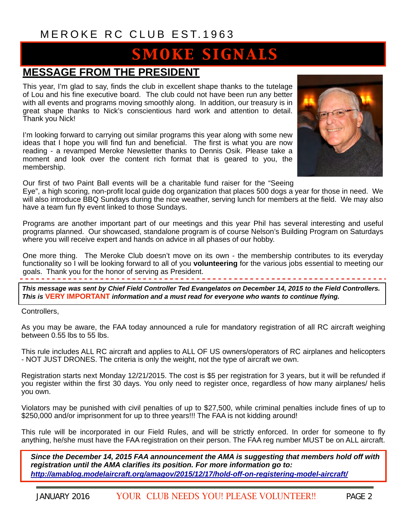## **SMOKE SIGNALS**

### **MESSAGE FROM THE PRESIDENT**

This year, I'm glad to say, finds the club in excellent shape thanks to the tutelage of Lou and his fine executive board. The club could not have been run any better with all events and programs moving smoothly along. In addition, our treasury is in great shape thanks to Nick's conscientious hard work and attention to detail. Thank you Nick!

I'm looking forward to carrying out similar programs this year along with some new ideas that I hope you will find fun and beneficial. The first is what you are now reading - a revamped Meroke Newsletter thanks to Dennis Osik. Please take a moment and look over the content rich format that is geared to you, the membership.



Our first of two Paint Ball events will be a charitable fund raiser for the "Seeing

Eye", a high scoring, non-profit local guide dog organization that places 500 dogs a year for those in need. We will also introduce BBQ Sundays during the nice weather, serving lunch for members at the field. We may also have a team fun fly event linked to those Sundays.

Programs are another important part of our meetings and this year Phil has several interesting and useful programs planned. Our showcased, standalone program is of course Nelson's Building Program on Saturdays where you will receive expert and hands on advice in all phases of our hobby.

One more thing. The Meroke Club doesn't move on its own - the membership contributes to its everyday functionality so I will be looking forward to all of you **volunteering** for the various jobs essential to meeting our goals. Thank you for the honor of serving as President.

*This message was sent by Chief Field Controller Ted Evangelatos on December 14, 2015 to the Field Controllers. This is* **VERY IMPORTANT** *information and a must read for everyone who wants to continue flying.*

Controllers,

As you may be aware, the FAA today announced a rule for mandatory registration of all RC aircraft weighing between 0.55 lbs to 55 lbs.

This rule includes ALL RC aircraft and applies to ALL OF US owners/operators of RC airplanes and helicopters - NOT JUST DRONES. The criteria is only the weight, not the type of aircraft we own.

Registration starts next Monday 12/21/2015. The cost is \$5 per registration for 3 years, but it will be refunded if you register within the first 30 days. You only need to register once, regardless of how many airplanes/ helis you own.

Violators may be punished with civil penalties of up to \$27,500, while criminal penalties include fines of up to \$250,000 and/or imprisonment for up to three years!!! The FAA is not kidding around!

This rule will be incorporated in our Field Rules, and will be strictly enforced. In order for someone to fly anything, he/she must have the FAA registration on their person. The FAA reg number MUST be on ALL aircraft.

*Since the December 14, 2015 FAA announcement the AMA is suggesting that members hold off with registration until the AMA clarifies its position. For more information go to: <http://amablog.modelaircraft.org/amagov/2015/12/17/hold-off-on-registering-model-aircraft/>*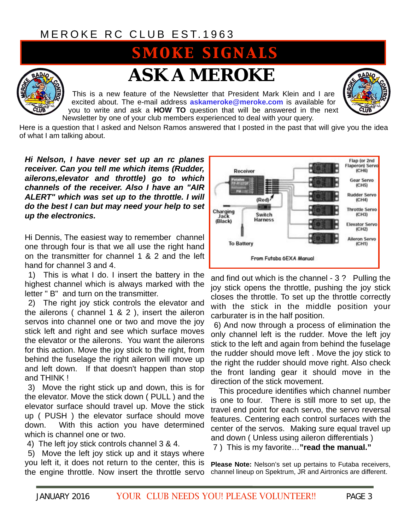## **SMOKE SIGNALS**



## *ASK A MEROKE*

This is a new feature of the Newsletter that President Mark Klein and I are excited about. The e-mail address **[askameroke@meroke.com](mailto:askameroke@meroke.com)** is available for you to write and ask a **HOW TO** question that will be answered in the next Newsletter by one of your club members experienced to deal with your query.



Here is a question that I asked and Nelson Ramos answered that I posted in the past that will give you the idea of what I am talking about.

*Hi Nelson, I have never set up an rc planes receiver. Can you tell me which items (Rudder, ailerons,elevator and throttle) go to which channels of the receiver. Also I have an "AIR ALERT" which was set up to the throttle. I will do the best I can but may need your help to set up the electronics.* 

Hi Dennis, The easiest way to remember channel one through four is that we all use the right hand on the transmitter for channel 1 & 2 and the left hand for channel 3 and 4.

 1) This is what I do. I insert the battery in the highest channel which is always marked with the letter " B" and turn on the transmitter.

 2) The right joy stick controls the elevator and the ailerons ( channel 1 & 2 ), insert the aileron servos into channel one or two and move the joy stick left and right and see which surface moves the elevator or the ailerons. You want the ailerons for this action. Move the joy stick to the right, from behind the fuselage the right aileron will move up and left down. If that doesn't happen than stop and THINK !

 3) Move the right stick up and down, this is for the elevator. Move the stick down ( PULL ) and the elevator surface should travel up. Move the stick up ( PUSH ) the elevator surface should move down. With this action you have determined which is channel one or two.

4) The left joy stick controls channel 3 & 4.

 5) Move the left joy stick up and it stays where you left it, it does not return to the center, this is the engine throttle. Now insert the throttle servo



and find out which is the channel - 3 ? Pulling the joy stick opens the throttle, pushing the joy stick closes the throttle. To set up the throttle correctly with the stick in the middle position your carburater is in the half position.

 6) And now through a process of elimination the only channel left is the rudder. Move the left joy stick to the left and again from behind the fuselage the rudder should move left . Move the joy stick to the right the rudder should move right. Also check the front landing gear it should move in the direction of the stick movement.

 This procedure identifies which channel number is one to four. There is still more to set up, the travel end point for each servo, the servo reversal features. Centering each control surfaces with the center of the servos. Making sure equal travel up and down ( Unless using aileron differentials )

7 ) This is my favorite…**"read the manual."** 

**Please Note:** Nelson's set up pertains to Futaba receivers, channel lineup on Spektrum, JR and Airtronics are different.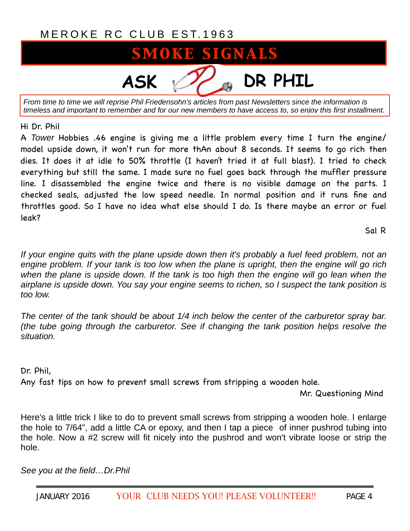## **SMOKE SIGNALS**

**ASK DR PHIL**

*From time to time we will reprise Phil Friedensohn's articles from past Newsletters since the information is timeless and important to remember and for our new members to have access to, so enjoy this first installment.*

Hi Dr. Phil

A *Tower* Hobbies .46 engine is giving me a little problem every time I turn the engine/ model upside down, it won't run for more thAn about 8 seconds. It seems to go rich then dies. It does it at idle to 50% throttle (I haven't tried it at full blast). I tried to check everything but still the same. I made sure no fuel goes back through the muffler pressure line. I disassembled the engine twice and there is no visible damage on the parts. I checked seals, adjusted the low speed needle. In normal position and it runs fine and throttles good. So I have no idea what else should I do. Is there maybe an error or fuel leak?

Sal R

*If your engine quits with the plane upside down then it's probably a fuel feed problem, not an engine problem. If your tank is too low when the plane is upright, then the engine will go rich*  when the plane is upside down. If the tank is too high then the engine will go lean when the *airplane is upside down. You say your engine seems to richen, so I suspect the tank position is too low.* 

*The center of the tank should be about 1/4 inch below the center of the carburetor spray bar. (the tube going through the carburetor. See if changing the tank position helps resolve the situation.* 

Dr. Phil,

Any fast tips on how to prevent small screws from stripping a wooden hole.

Mr. Questioning Mind

Here's a little trick I like to do to prevent small screws from stripping a wooden hole. I enlarge the hole to 7/64", add a little CA or epoxy, and then I tap a piece of inner pushrod tubing into the hole. Now a #2 screw will fit nicely into the pushrod and won't vibrate loose or strip the hole.

*See you at the field…Dr.Phil*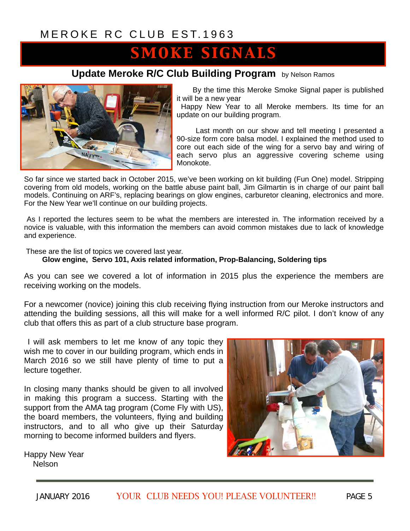## SMOKE SIGNALS

### **Update Meroke R/C Club Building Program** by Nelson Ramos



By the time this Meroke Smoke Signal paper is published it will be a new year

 Happy New Year to all Meroke members. Its time for an update on our building program.

 Last month on our show and tell meeting I presented a 90-size form core balsa model. I explained the method used to core out each side of the wing for a servo bay and wiring of each servo plus an aggressive covering scheme using Monokote.

So far since we started back in October 2015, we've been working on kit building (Fun One) model. Stripping covering from old models, working on the battle abuse paint ball, Jim Gilmartin is in charge of our paint ball models. Continuing on ARF's, replacing bearings on glow engines, carburetor cleaning, electronics and more. For the New Year we'll continue on our building projects.

 As I reported the lectures seem to be what the members are interested in. The information received by a novice is valuable, with this information the members can avoid common mistakes due to lack of knowledge and experience.

These are the list of topics we covered last year.

#### **Glow engine, Servo 101, Axis related information, Prop-Balancing, Soldering tips**

As you can see we covered a lot of information in 2015 plus the experience the members are receiving working on the models.

For a newcomer (novice) joining this club receiving flying instruction from our Meroke instructors and attending the building sessions, all this will make for a well informed R/C pilot. I don't know of any club that offers this as part of a club structure base program.

 I will ask members to let me know of any topic they wish me to cover in our building program, which ends in March 2016 so we still have plenty of time to put a lecture together.

In closing many thanks should be given to all involved in making this program a success. Starting with the support from the AMA tag program (Come Fly with US), the board members, the volunteers, flying and building instructors, and to all who give up their Saturday morning to become informed builders and flyers.



Happy New Year **Nelson**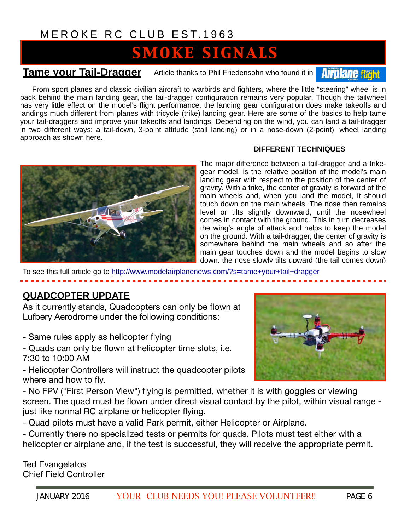## **SMOKE SIGNALS**

**Tame your Tail-Dragger** Article thanks to Phil Friedensohn who found it in **Airplane fight** 

From sport planes and classic civilian aircraft to warbirds and fighters, where the little "steering" wheel is in back behind the main landing gear, the tail-dragger configuration remains very popular. Though the tailwheel has very little effect on the model's flight performance, the landing gear configuration does make takeoffs and landings much different from planes with tricycle (trike) landing gear. Here are some of the basics to help tame your tail-draggers and improve your takeoffs and landings. Depending on the wind, you can land a tail-dragger in two different ways: a tail-down, 3-point attitude (stall landing) or in a nose-down (2-point), wheel landing approach as shown here.

#### **DIFFERENT TECHNIQUES**



The major difference between a tail-dragger and a trikegear model, is the relative position of the model's main landing gear with respect to the position of the center of gravity. With a trike, the center of gravity is forward of the main wheels and, when you land the model, it should touch down on the main wheels. The nose then remains level or tilts slightly downward, until the nosewheel comes in contact with the ground. This in turn decreases the wing's angle of attack and helps to keep the model on the ground. With a tail-dragger, the center of gravity is somewhere behind the main wheels and so after the main gear touches down and the model begins to slow down, the nose slowly tilts upward (the tail comes down)

To see this full article go to <http://www.modelairplanenews.com/?s=tame+your+tail+dragger>

### **QUADCOPTER UPDATE**

As it currently stands, Quadcopters can only be flown at Lufbery Aerodrome under the following conditions:

- Same rules apply as helicopter flying
- Quads can only be flown at helicopter time slots, i.e. 7:30 to 10:00 AM

- Helicopter Controllers will instruct the quadcopter pilots where and how to fly.



- No FPV ("First Person View") flying is permitted, whether it is with goggles or viewing screen. The quad must be flown under direct visual contact by the pilot, within visual range just like normal RC airplane or helicopter flying.

- Quad pilots must have a valid Park permit, either Helicopter or Airplane.

- Currently there no specialized tests or permits for quads. Pilots must test either with a helicopter or airplane and, if the test is successful, they will receive the appropriate permit.

Ted Evangelatos Chief Field Controller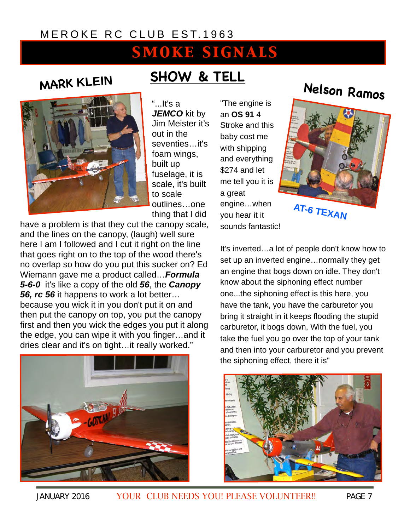## SMOKE SIGNALS

### **MARK KLEIN**



## **SHOW & TELL**

"...It's a JEMCO kit by Jim Meister it's out in the seventies…it's foam wings, built up fuselage, it is scale, it's built to scale outlines…one thing that I did

have a problem is that they cut the canopy scale, and the lines on the canopy, (laugh) well sure here I am I followed and I cut it right on the line that goes right on to the top of the wood there's no overlap so how do you put this sucker on? Ed Wiemann gave me a product called…*Formula 5-6-0* it's like a copy of the old *56*, the *Canopy 56, rc 56* it happens to work a lot better… because you wick it in you don't put it on and then put the canopy on top, you put the canopy first and then you wick the edges you put it along the edge, you can wipe it with you finger…and it dries clear and it's on tight…it really worked."



"The engine is an **OS 91** 4 Stroke and this baby cost me with shipping and everything \$274 and let me tell you it is a great engine…when you hear it it sounds fantastic!

## **Nelson Ramos**



**AT-6 TEXAN**

It's inverted…a lot of people don't know how to set up an inverted engine…normally they get an engine that bogs down on idle. They don't know about the siphoning effect number one...the siphoning effect is this here, you have the tank, you have the carburetor you bring it straight in it keeps flooding the stupid carburetor, it bogs down, With the fuel, you take the fuel you go over the top of your tank and then into your carburetor and you prevent the siphoning effect, there it is"